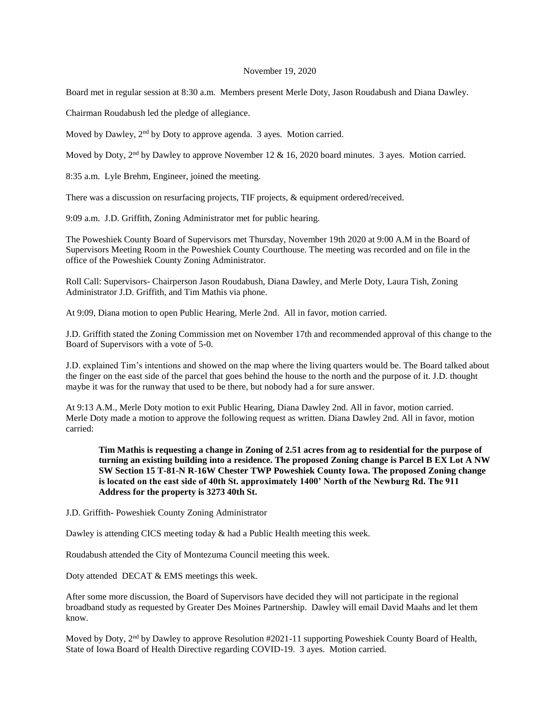### November 19, 2020

Board met in regular session at 8:30 a.m. Members present Merle Doty, Jason Roudabush and Diana Dawley.

Chairman Roudabush led the pledge of allegiance.

Moved by Dawley, 2<sup>nd</sup> by Doty to approve agenda. 3 ayes. Motion carried.

Moved by Doty, 2<sup>nd</sup> by Dawley to approve November 12 & 16, 2020 board minutes. 3 ayes. Motion carried.

8:35 a.m. Lyle Brehm, Engineer, joined the meeting.

There was a discussion on resurfacing projects, TIF projects, & equipment ordered/received.

9:09 a.m. J.D. Griffith, Zoning Administrator met for public hearing.

The Poweshiek County Board of Supervisors met Thursday, November 19th 2020 at 9:00 A.M in the Board of Supervisors Meeting Room in the Poweshiek County Courthouse. The meeting was recorded and on file in the office of the Poweshiek County Zoning Administrator.

Roll Call: Supervisors- Chairperson Jason Roudabush, Diana Dawley, and Merle Doty, Laura Tish, Zoning Administrator J.D. Griffith, and Tim Mathis via phone.

At 9:09, Diana motion to open Public Hearing, Merle 2nd. All in favor, motion carried.

J.D. Griffith stated the Zoning Commission met on November 17th and recommended approval of this change to the Board of Supervisors with a vote of 5-0.

J.D. explained Tim's intentions and showed on the map where the living quarters would be. The Board talked about the finger on the east side of the parcel that goes behind the house to the north and the purpose of it. J.D. thought maybe it was for the runway that used to be there, but nobody had a for sure answer.

At 9:13 A.M., Merle Doty motion to exit Public Hearing, Diana Dawley 2nd. All in favor, motion carried. Merle Doty made a motion to approve the following request as written. Diana Dawley 2nd. All in favor, motion carried:

**Tim Mathis is requesting a change in Zoning of 2.51 acres from ag to residential for the purpose of turning an existing building into a residence. The proposed Zoning change is Parcel B EX Lot A NW SW Section 15 T-81-N R-16W Chester TWP Poweshiek County Iowa. The proposed Zoning change is located on the east side of 40th St. approximately 1400' North of the Newburg Rd. The 911 Address for the property is 3273 40th St.**

J.D. Griffith- Poweshiek County Zoning Administrator

Dawley is attending CICS meeting today & had a Public Health meeting this week.

Roudabush attended the City of Montezuma Council meeting this week.

Doty attended DECAT & EMS meetings this week.

After some more discussion, the Board of Supervisors have decided they will not participate in the regional broadband study as requested by Greater Des Moines Partnership. Dawley will email David Maahs and let them know.

Moved by Doty, 2nd by Dawley to approve Resolution #2021-11 supporting Poweshiek County Board of Health, State of Iowa Board of Health Directive regarding COVID-19. 3 ayes. Motion carried.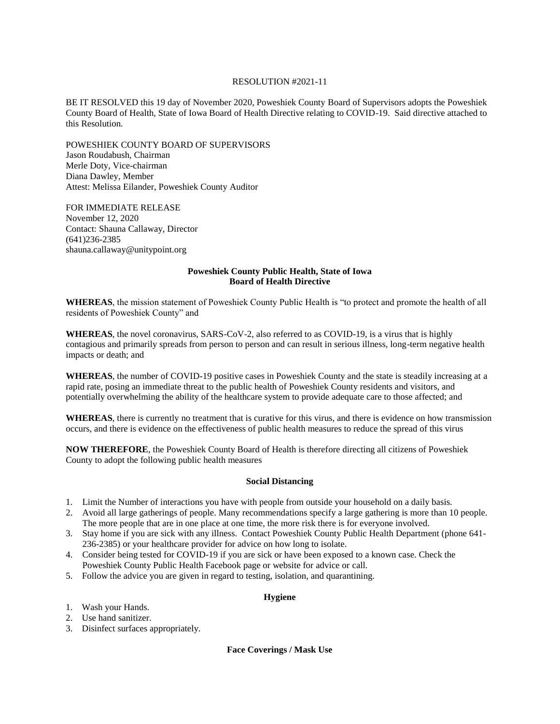### RESOLUTION #2021-11

BE IT RESOLVED this 19 day of November 2020, Poweshiek County Board of Supervisors adopts the Poweshiek County Board of Health, State of Iowa Board of Health Directive relating to COVID-19. Said directive attached to this Resolution.

POWESHIEK COUNTY BOARD OF SUPERVISORS Jason Roudabush, Chairman Merle Doty, Vice-chairman Diana Dawley, Member Attest: Melissa Eilander, Poweshiek County Auditor

FOR IMMEDIATE RELEASE November 12, 2020 Contact: Shauna Callaway, Director (641)236-2385 shauna.callaway@unitypoint.org

## **Poweshiek County Public Health, State of Iowa Board of Health Directive**

**WHEREAS**, the mission statement of Poweshiek County Public Health is "to protect and promote the health of all residents of Poweshiek County" and

**WHEREAS**, the novel coronavirus, SARS-CoV-2, also referred to as COVID-19, is a virus that is highly contagious and primarily spreads from person to person and can result in serious illness, long-term negative health impacts or death; and

**WHEREAS**, the number of COVID-19 positive cases in Poweshiek County and the state is steadily increasing at a rapid rate, posing an immediate threat to the public health of Poweshiek County residents and visitors, and potentially overwhelming the ability of the healthcare system to provide adequate care to those affected; and

**WHEREAS**, there is currently no treatment that is curative for this virus, and there is evidence on how transmission occurs, and there is evidence on the effectiveness of public health measures to reduce the spread of this virus

**NOW THEREFORE**, the Poweshiek County Board of Health is therefore directing all citizens of Poweshiek County to adopt the following public health measures

### **Social Distancing**

- 1. Limit the Number of interactions you have with people from outside your household on a daily basis.
- 2. Avoid all large gatherings of people. Many recommendations specify a large gathering is more than 10 people. The more people that are in one place at one time, the more risk there is for everyone involved.
- 3. Stay home if you are sick with any illness. Contact Poweshiek County Public Health Department (phone 641- 236-2385) or your healthcare provider for advice on how long to isolate.
- 4. Consider being tested for COVID-19 if you are sick or have been exposed to a known case. Check the Poweshiek County Public Health Facebook page or website for advice or call.
- 5. Follow the advice you are given in regard to testing, isolation, and quarantining.

# **Hygiene**

- 1. Wash your Hands.
- 2. Use hand sanitizer.
- 3. Disinfect surfaces appropriately.

**Face Coverings / Mask Use**